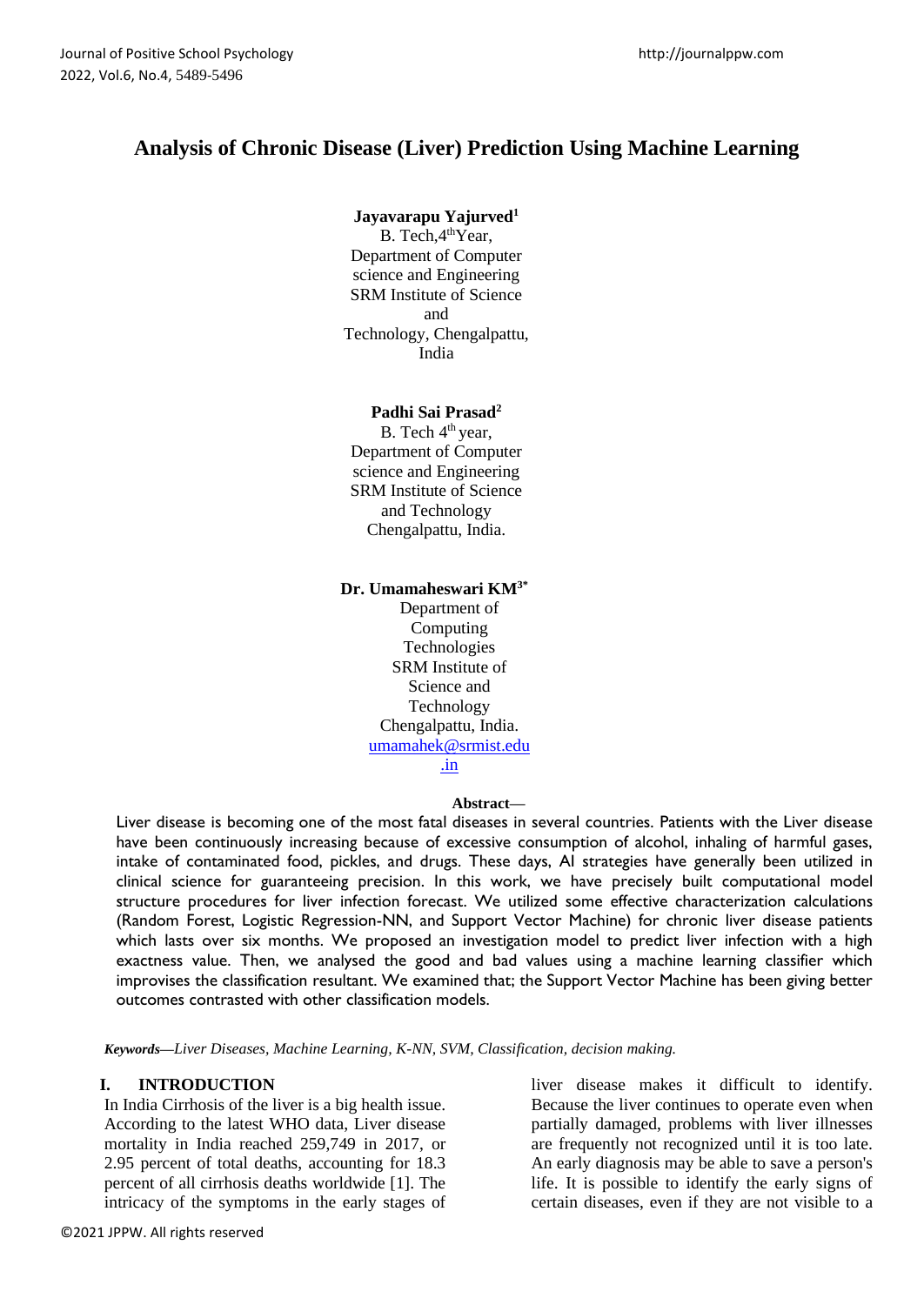# **Analysis of Chronic Disease (Liver) Prediction Using Machine Learning**

## **Jayavarapu Yajurved<sup>1</sup>**

B. Tech, 4<sup>th</sup>Year, Department of Computer science and Engineering SRM Institute of Science and Technology, Chengalpattu, India

### **Padhi Sai Prasad<sup>2</sup>**

B. Tech 4<sup>th</sup> year, Department of Computer science and Engineering SRM Institute of Science and Technology Chengalpattu, India.

### **Dr. Umamaheswari KM3\***

Department of Computing Technologies SRM Institute of Science and Technology Chengalpattu, India. [umamahek@srmist.edu](mailto:umamahek@srmist.edu.in) [.in](mailto:umamahek@srmist.edu.in)

### **Abstract—**

Liver disease is becoming one of the most fatal diseases in several countries. Patients with the Liver disease have been continuously increasing because of excessive consumption of alcohol, inhaling of harmful gases, intake of contaminated food, pickles, and drugs. These days, AI strategies have generally been utilized in clinical science for guaranteeing precision. In this work, we have precisely built computational model structure procedures for liver infection forecast. We utilized some effective characterization calculations (Random Forest, Logistic Regression-NN, and Support Vector Machine) for chronic liver disease patients which lasts over six months. We proposed an investigation model to predict liver infection with a high exactness value. Then, we analysed the good and bad values using a machine learning classifier which improvises the classification resultant. We examined that; the Support Vector Machine has been giving better outcomes contrasted with other classification models.

*Keywords—Liver Diseases, Machine Learning, K-NN, SVM, Classification, decision making.*

### **I. INTRODUCTION**

In India Cirrhosis of the liver is a big health issue. According to the latest WHO data, Liver disease mortality in India reached 259,749 in 2017, or 2.95 percent of total deaths, accounting for 18.3 percent of all cirrhosis deaths worldwide [1]. The intricacy of the symptoms in the early stages of

liver disease makes it difficult to identify. Because the liver continues to operate even when partially damaged, problems with liver illnesses are frequently not recognized until it is too late. An early diagnosis may be able to save a person's life. It is possible to identify the early signs of certain diseases, even if they are not visible to a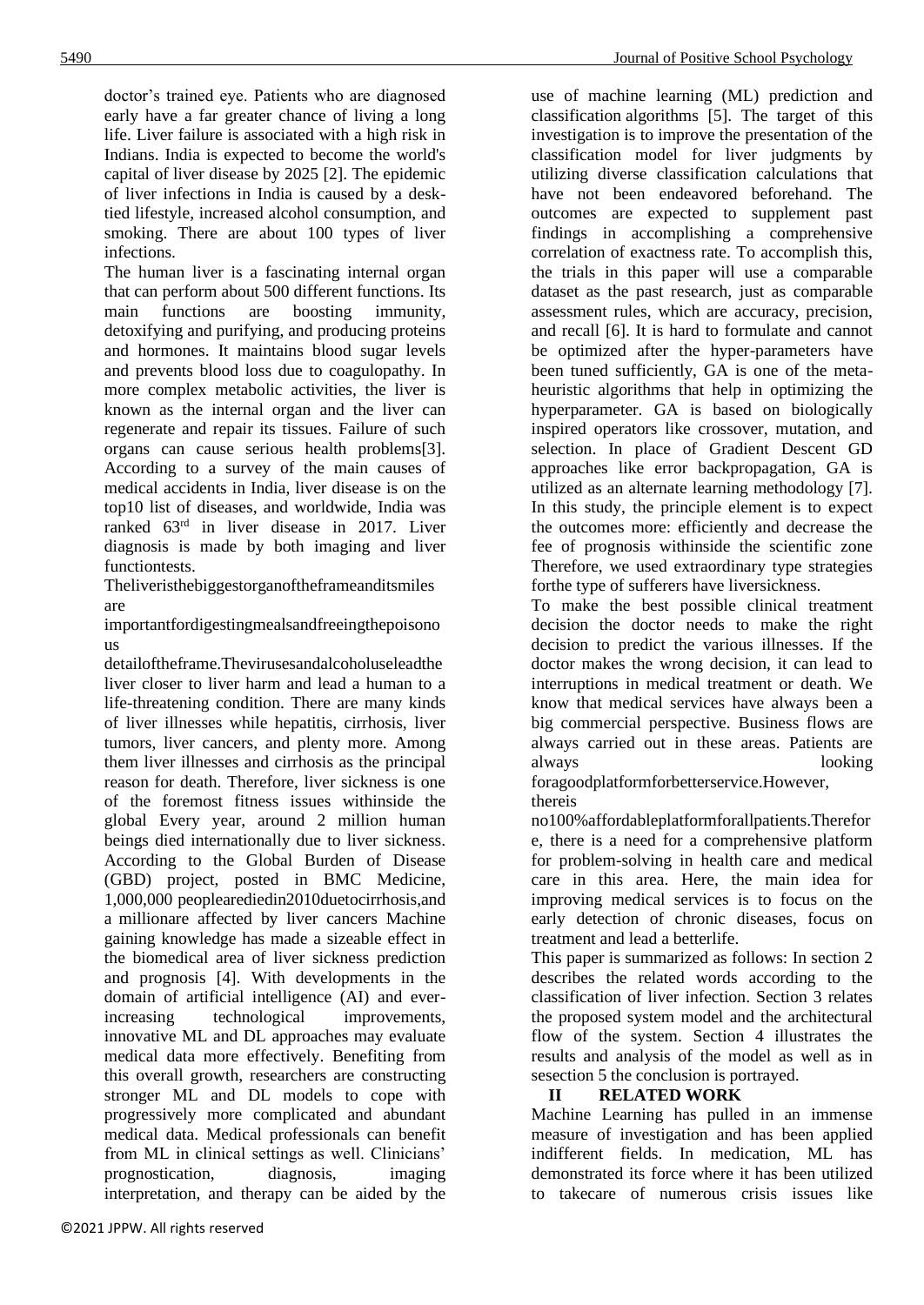doctor's trained eye. Patients who are diagnosed early have a far greater chance of living a long life. Liver failure is associated with a high risk in Indians. India is expected to become the world's capital of liver disease by 2025 [2]. The epidemic of liver infections in India is caused by a desktied lifestyle, increased alcohol consumption, and smoking. There are about 100 types of liver infections.

The human liver is a fascinating internal organ that can perform about 500 different functions. Its main functions are boosting immunity, detoxifying and purifying, and producing proteins and hormones. It maintains blood sugar levels and prevents blood loss due to coagulopathy. In more complex metabolic activities, the liver is known as the internal organ and the liver can regenerate and repair its tissues. Failure of such organs can cause serious health problems[3]. According to a survey of the main causes of medical accidents in India, liver disease is on the top10 list of diseases, and worldwide, India was ranked 63rd in liver disease in 2017. Liver diagnosis is made by both imaging and liver functiontests.

Theliveristhebiggestorganoftheframeanditsmiles are

importantfordigestingmealsandfreeingthepoisono us

detailoftheframe.Thevirusesandalcoholuseleadthe liver closer to liver harm and lead a human to a life-threatening condition. There are many kinds of liver illnesses while hepatitis, cirrhosis, liver tumors, liver cancers, and plenty more. Among them liver illnesses and cirrhosis as the principal reason for death. Therefore, liver sickness is one of the foremost fitness issues withinside the global Every year, around 2 million human beings died internationally due to liver sickness. According to the Global Burden of Disease (GBD) project, posted in BMC Medicine, 1,000,000 peoplearediedin2010duetocirrhosis,and a millionare affected by liver cancers Machine gaining knowledge has made a sizeable effect in the biomedical area of liver sickness prediction and prognosis [4]. With developments in the domain of artificial intelligence (AI) and everincreasing technological improvements, innovative ML and DL approaches may evaluate medical data more effectively. Benefiting from this overall growth, researchers are constructing stronger ML and DL models to cope with progressively more complicated and abundant medical data. Medical professionals can benefit from ML in clinical settings as well. Clinicians' prognostication, diagnosis, imaging interpretation, and therapy can be aided by the

use of machine learning (ML) prediction and classification algorithms [5]. The target of this investigation is to improve the presentation of the classification model for liver judgments by utilizing diverse classification calculations that have not been endeavored beforehand. The outcomes are expected to supplement past findings in accomplishing a comprehensive correlation of exactness rate. To accomplish this, the trials in this paper will use a comparable dataset as the past research, just as comparable assessment rules, which are accuracy, precision, and recall [6]. It is hard to formulate and cannot be optimized after the hyper-parameters have been tuned sufficiently, GA is one of the metaheuristic algorithms that help in optimizing the hyperparameter. GA is based on biologically inspired operators like crossover, mutation, and selection. In place of Gradient Descent GD approaches like error backpropagation, GA is utilized as an alternate learning methodology [7]. In this study, the principle element is to expect the outcomes more: efficiently and decrease the fee of prognosis withinside the scientific zone Therefore, we used extraordinary type strategies forthe type of sufferers have liversickness.

To make the best possible clinical treatment decision the doctor needs to make the right decision to predict the various illnesses. If the doctor makes the wrong decision, it can lead to interruptions in medical treatment or death. We know that medical services have always been a big commercial perspective. Business flows are always carried out in these areas. Patients are always looking

foragoodplatformforbetterservice.However, thereis

no100%affordableplatformforallpatients.Therefor e, there is a need for a comprehensive platform for problem-solving in health care and medical care in this area. Here, the main idea for improving medical services is to focus on the early detection of chronic diseases, focus on treatment and lead a betterlife.

This paper is summarized as follows: In section 2 describes the related words according to the classification of liver infection. Section 3 relates the proposed system model and the architectural flow of the system. Section 4 illustrates the results and analysis of the model as well as in sesection 5 the conclusion is portrayed.

# **II RELATED WORK**

Machine Learning has pulled in an immense measure of investigation and has been applied indifferent fields. In medication, ML has demonstrated its force where it has been utilized to takecare of numerous crisis issues like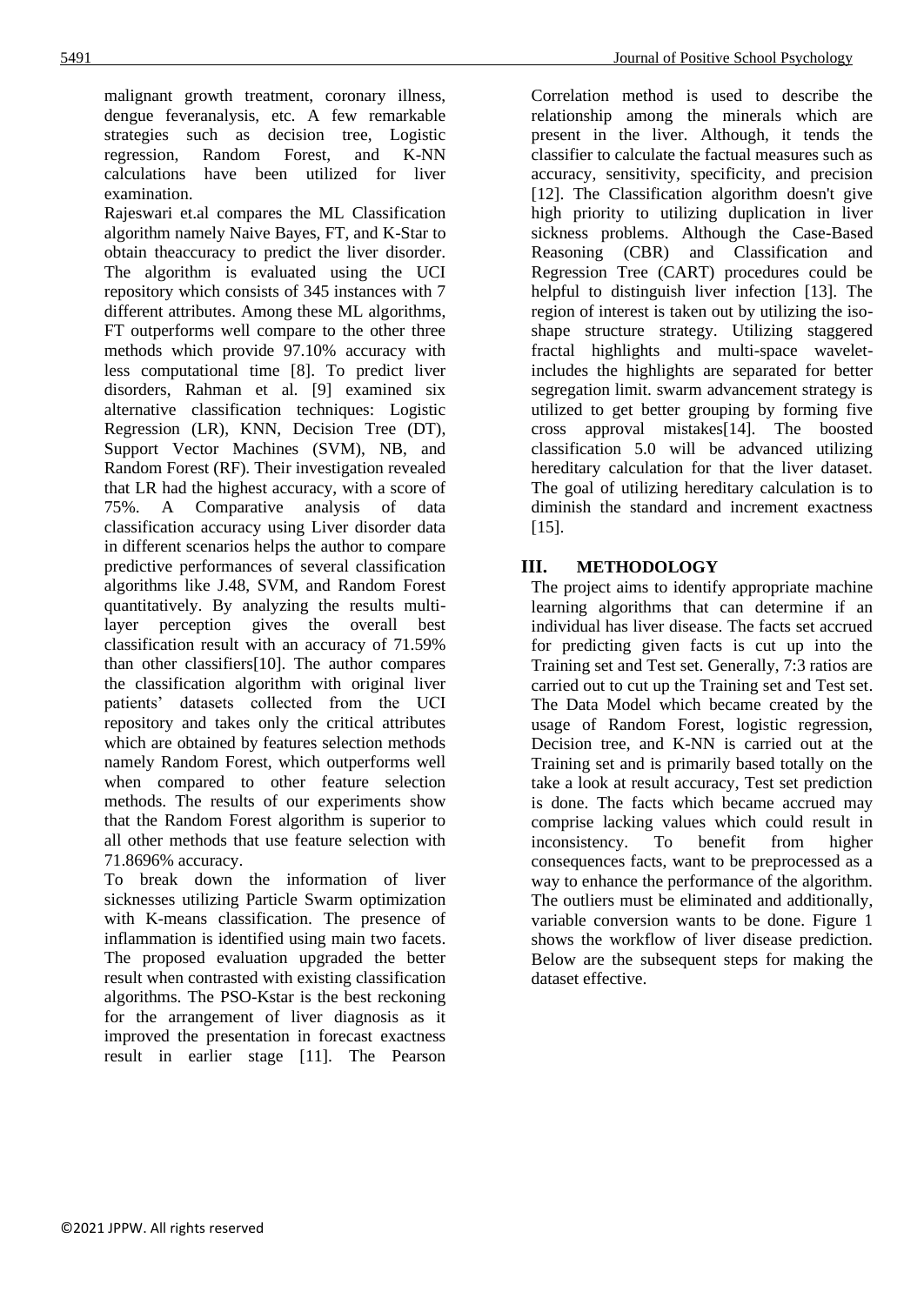malignant growth treatment, coronary illness, dengue feveranalysis, etc. A few remarkable strategies such as decision tree, Logistic regression, Random Forest, and K-NN calculations have been utilized for liver examination.

Rajeswari et.al compares the ML Classification algorithm namely Naive Bayes, FT, and K-Star to obtain theaccuracy to predict the liver disorder. The algorithm is evaluated using the UCI repository which consists of 345 instances with 7 different attributes. Among these ML algorithms, FT outperforms well compare to the other three methods which provide 97.10% accuracy with less computational time [8]. To predict liver disorders, Rahman et al. [9] examined six alternative classification techniques: Logistic Regression (LR), KNN, Decision Tree (DT), Support Vector Machines (SVM), NB, and Random Forest (RF). Their investigation revealed that LR had the highest accuracy, with a score of 75%. A Comparative analysis of data classification accuracy using Liver disorder data in different scenarios helps the author to compare predictive performances of several classification algorithms like J.48, SVM, and Random Forest quantitatively. By analyzing the results multilayer perception gives the overall best classification result with an accuracy of 71.59% than other classifiers[10]. The author compares the classification algorithm with original liver patients' datasets collected from the UCI repository and takes only the critical attributes which are obtained by features selection methods namely Random Forest, which outperforms well when compared to other feature selection methods. The results of our experiments show that the Random Forest algorithm is superior to all other methods that use feature selection with 71.8696% accuracy.

To break down the information of liver sicknesses utilizing Particle Swarm optimization with K-means classification. The presence of inflammation is identified using main two facets. The proposed evaluation upgraded the better result when contrasted with existing classification algorithms. The PSO-Kstar is the best reckoning for the arrangement of liver diagnosis as it improved the presentation in forecast exactness result in earlier stage [11]. The Pearson

Correlation method is used to describe the relationship among the minerals which are present in the liver. Although, it tends the classifier to calculate the factual measures such as accuracy, sensitivity, specificity, and precision [12]. The Classification algorithm doesn't give high priority to utilizing duplication in liver sickness problems. Although the Case-Based Reasoning (CBR) and Classification and Regression Tree (CART) procedures could be helpful to distinguish liver infection [13]. The region of interest is taken out by utilizing the isoshape structure strategy. Utilizing staggered fractal highlights and multi-space waveletincludes the highlights are separated for better segregation limit. swarm advancement strategy is utilized to get better grouping by forming five cross approval mistakes[14]. The boosted classification 5.0 will be advanced utilizing hereditary calculation for that the liver dataset. The goal of utilizing hereditary calculation is to diminish the standard and increment exactness [15].

# **III. METHODOLOGY**

The project aims to identify appropriate machine learning algorithms that can determine if an individual has liver disease. The facts set accrued for predicting given facts is cut up into the Training set and Test set. Generally, 7:3 ratios are carried out to cut up the Training set and Test set. The Data Model which became created by the usage of Random Forest, logistic regression, Decision tree, and K-NN is carried out at the Training set and is primarily based totally on the take a look at result accuracy, Test set prediction is done. The facts which became accrued may comprise lacking values which could result in inconsistency. To benefit from higher consequences facts, want to be preprocessed as a way to enhance the performance of the algorithm. The outliers must be eliminated and additionally, variable conversion wants to be done. Figure 1 shows the workflow of liver disease prediction. Below are the subsequent steps for making the dataset effective.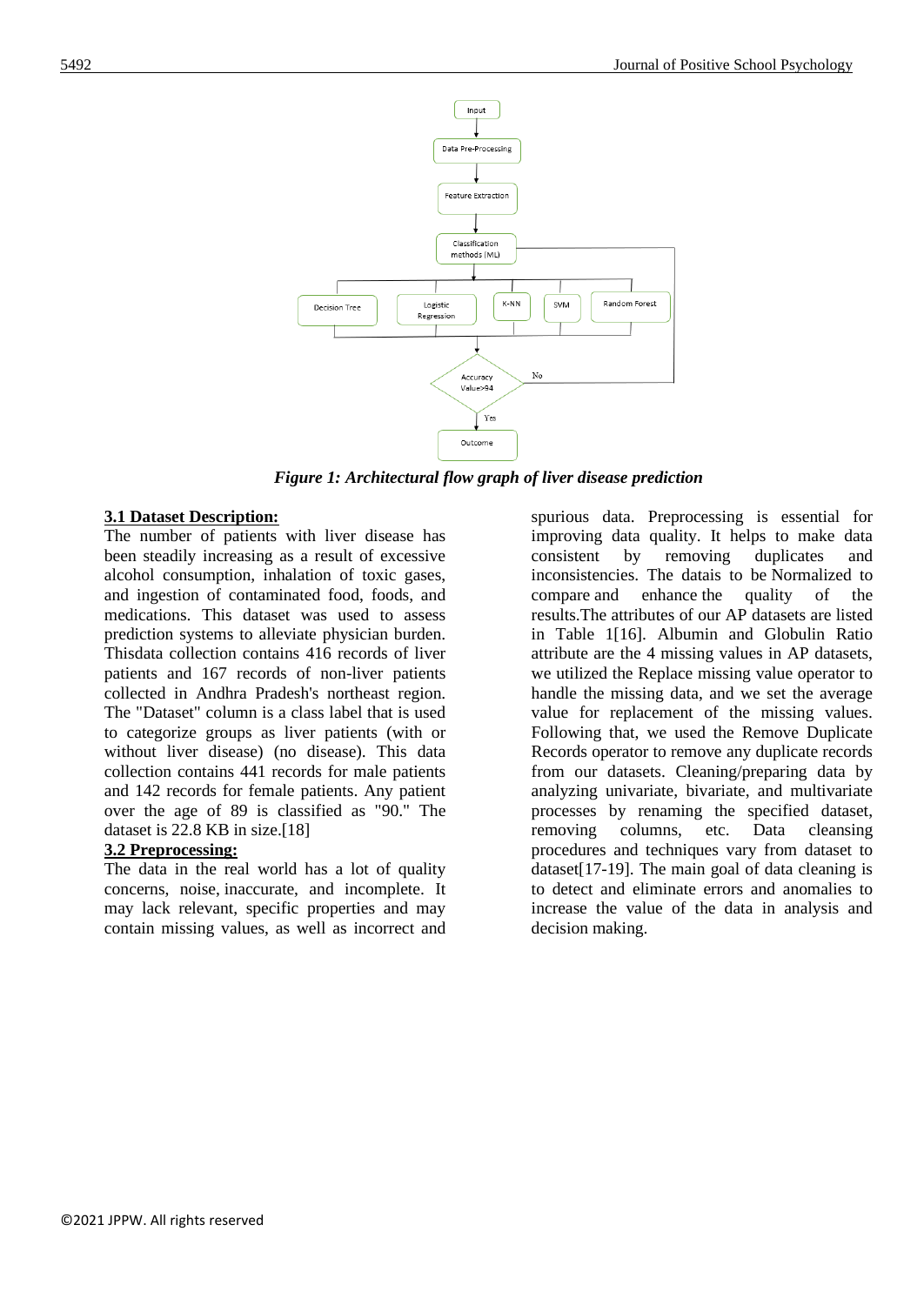

*Figure 1: Architectural flow graph of liver disease prediction*

### **3.1 Dataset Description:**

The number of patients with liver disease has been steadily increasing as a result of excessive alcohol consumption, inhalation of toxic gases, and ingestion of contaminated food, foods, and medications. This dataset was used to assess prediction systems to alleviate physician burden. Thisdata collection contains 416 records of liver patients and 167 records of non-liver patients collected in Andhra Pradesh's northeast region. The "Dataset" column is a class label that is used to categorize groups as liver patients (with or without liver disease) (no disease). This data collection contains 441 records for male patients and 142 records for female patients. Any patient over the age of 89 is classified as "90." The dataset is 22.8 KB in size.[18]

# **3.2 Preprocessing:**

The data in the real world has a lot of quality concerns, noise, inaccurate, and incomplete. It may lack relevant, specific properties and may contain missing values, as well as incorrect and

spurious data. Preprocessing is essential for improving data quality. It helps to make data consistent by removing duplicates and inconsistencies. The datais to be Normalized to compare and enhance the quality of the results.The attributes of our AP datasets are listed in Table 1[16]. Albumin and Globulin Ratio attribute are the 4 missing values in AP datasets, we utilized the Replace missing value operator to handle the missing data, and we set the average value for replacement of the missing values. Following that, we used the Remove Duplicate Records operator to remove any duplicate records from our datasets. Cleaning/preparing data by analyzing univariate, bivariate, and multivariate processes by renaming the specified dataset, removing columns, etc. Data cleansing procedures and techniques vary from dataset to dataset[17-19]. The main goal of data cleaning is to detect and eliminate errors and anomalies to increase the value of the data in analysis and decision making.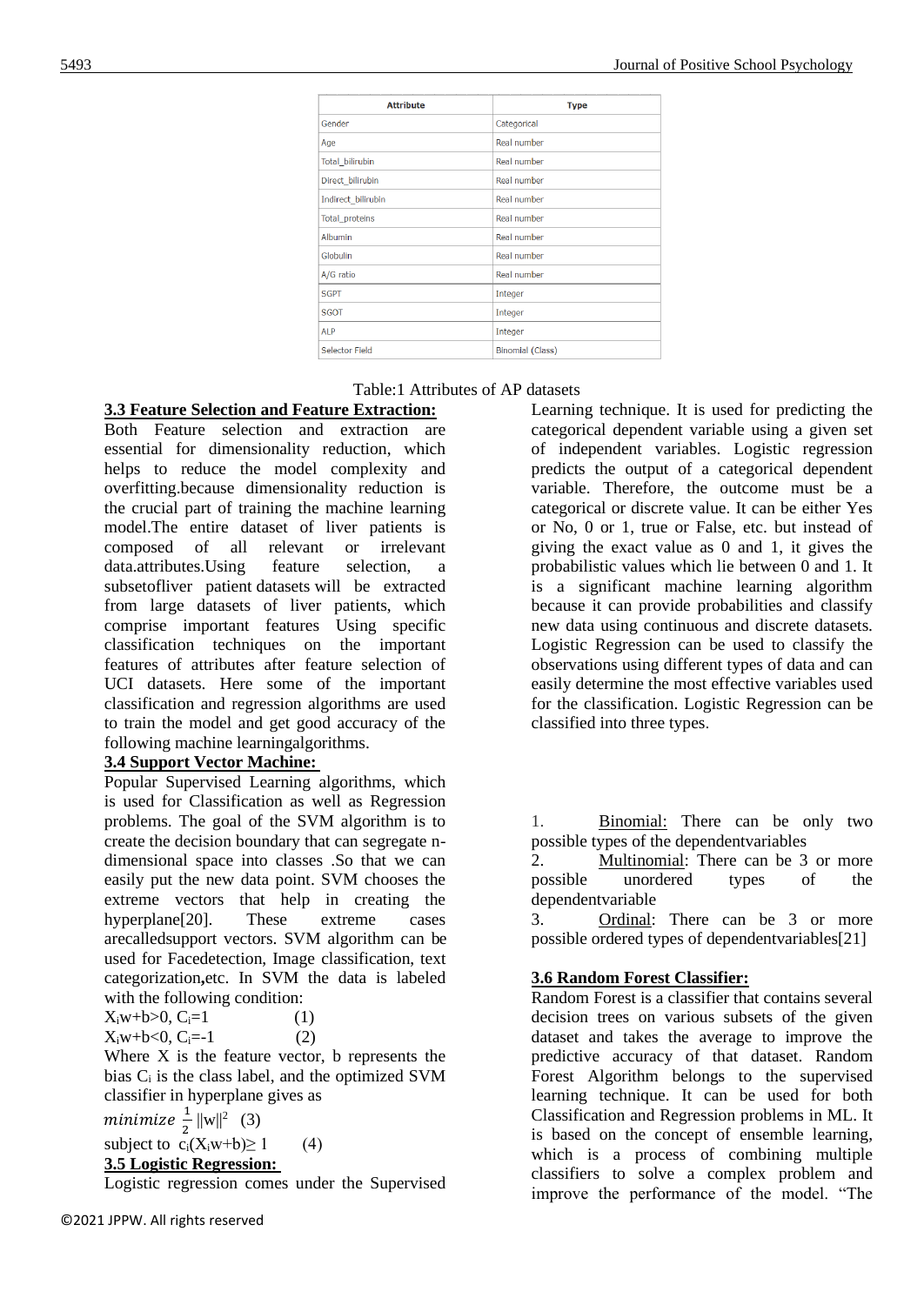| <b>Attribute</b>       | <b>Type</b>             |  |  |
|------------------------|-------------------------|--|--|
| Gender                 | Categorical             |  |  |
| Age                    | Real number             |  |  |
| <b>Total bilirubin</b> | Real number             |  |  |
| Direct_bilirubin       | Real number             |  |  |
| Indirect_bilirubin     | Real number             |  |  |
| Total_proteins         | Real number             |  |  |
| Albumin                | Real number             |  |  |
| Globulin               | Real number             |  |  |
| A/G ratio              | Real number             |  |  |
| <b>SGPT</b>            | Integer                 |  |  |
| <b>SGOT</b>            | Integer                 |  |  |
| <b>ALP</b>             | Integer                 |  |  |
| Selector Field         | <b>Binomial (Class)</b> |  |  |

### Table:1 Attributes of AP datasets

# **3.3 Feature Selection and Feature Extraction:**

Both Feature selection and extraction are essential for dimensionality reduction, which helps to reduce the model complexity and overfitting.because dimensionality reduction is the crucial part of training the machine learning model.The entire dataset of liver patients is composed of all relevant or irrelevant data.attributes.Using feature selection, a subsetofliver patient datasets will be extracted from large datasets of liver patients, which comprise important features Using specific classification techniques on the important features of attributes after feature selection of UCI datasets. Here some of the important classification and regression algorithms are used to train the model and get good accuracy of the following machine learningalgorithms.

# **3.4 Support Vector Machine:**

Popular Supervised Learning algorithms, which is used for Classification as well as Regression problems. The goal of the SVM algorithm is to create the decision boundary that can segregate ndimensional space into classes .So that we can easily put the new data point. SVM chooses the extreme vectors that help in creating the hyperplane<sup>[20]</sup>. These extreme cases arecalledsupport vectors. SVM algorithm can be used for Facedetection, Image classification, text categorization**,**etc. In SVM the data is labeled with the following condition:

 $X_iw+b>0, C_i=1$  (1)  $X_iw+b<0, C_i=1$  (2)

Where  $X$  is the feature vector, b represents the bias  $C_i$  is the class label, and the optimized SVM classifier in hyperplane gives as

minimize  $\frac{1}{2} ||\text{w}||^2$  (3)

subject to  $c_i(X_iw+b) \ge 1$  (4)

# **3.5 Logistic Regression:**

Logistic regression comes under the Supervised

Learning technique. It is used for predicting the categorical dependent variable using a given set of independent variables. Logistic regression predicts the output of a categorical dependent variable. Therefore, the outcome must be a categorical or discrete value. It can be either Yes or No, 0 or 1, true or False, etc. but instead of giving the exact value as 0 and 1, it gives the probabilistic values which lie between 0 and 1. It is a significant machine learning algorithm because it can provide probabilities and classify new data using continuous and discrete datasets. Logistic Regression can be used to classify the observations using different types of data and can easily determine the most effective variables used for the classification. Logistic Regression can be classified into three types.

1. Binomial: There can be only two possible types of the dependentvariables

2. Multinomial: There can be 3 or more possible unordered types of the dependentvariable

3. Ordinal: There can be 3 or more possible ordered types of dependentvariables[21]

# **3.6 Random Forest Classifier:**

Random Forest is a classifier that contains several decision trees on various subsets of the given dataset and takes the average to improve the predictive accuracy of that dataset. Random Forest Algorithm belongs to the supervised learning technique. It can be used for both Classification and Regression problems in ML. It is based on the concept of ensemble learning, which is a process of combining multiple classifiers to solve a complex problem and improve the performance of the model. "The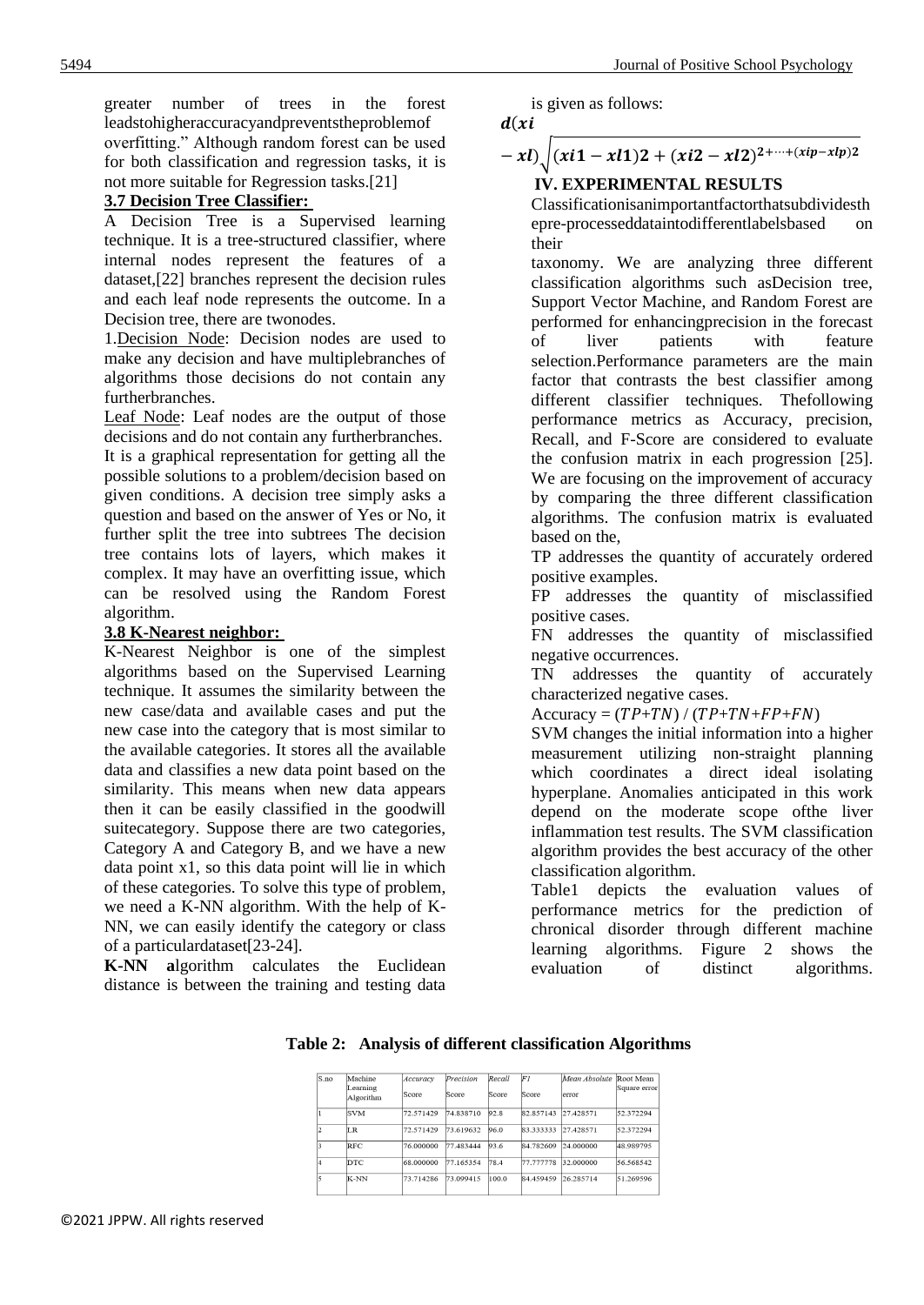greater number of trees in the forest leadstohigheraccuracyandpreventstheproblemof overfitting." Although random forest can be used for both classification and regression tasks, it is not more suitable for Regression tasks.[21]

### **3.7 Decision Tree Classifier:**

Decision Tree is a Supervised learning technique. It is a tree-structured classifier, where internal nodes represent the features of a dataset,[22] branches represent the decision rules and each leaf node represents the outcome. In a Decision tree, there are twonodes.

1.Decision Node: Decision nodes are used to make any decision and have multiplebranches of algorithms those decisions do not contain any furtherbranches.

Leaf Node: Leaf nodes are the output of those decisions and do not contain any furtherbranches.

It is a graphical representation for getting all the possible solutions to a problem/decision based on given conditions. A decision tree simply asks a question and based on the answer of Yes or No, it further split the tree into subtrees The decision tree contains lots of layers, which makes it complex. It may have an overfitting issue, which can be resolved using the Random Forest algorithm.

### **3.8 K-Nearest neighbor:**

K-Nearest Neighbor is one of the simplest algorithms based on the Supervised Learning technique. It assumes the similarity between the new case/data and available cases and put the new case into the category that is most similar to the available categories. It stores all the available data and classifies a new data point based on the similarity. This means when new data appears then it can be easily classified in the goodwill suitecategory. Suppose there are two categories, Category A and Category B, and we have a new data point x1, so this data point will lie in which of these categories. To solve this type of problem, we need a K-NN algorithm. With the help of K-NN, we can easily identify the category or class of a particulardataset[23-24].

**K-NN a**lgorithm calculates the Euclidean distance is between the training and testing data is given as follows:

$$
d(xi
$$

 $- x l$ )<sub>1</sub>  $(xi1 - xl1)2 + (xi2 - xl2)^{2 + \cdots + (xip - xlp)2}$ 

### **IV. EXPERIMENTAL RESULTS**

Classificationisanimportantfactorthatsubdividesth epre-processeddataintodifferentlabelsbased on their

taxonomy. We are analyzing three different classification algorithms such asDecision tree, Support Vector Machine, and Random Forest are performed for enhancingprecision in the forecast of liver patients with feature selection.Performance parameters are the main factor that contrasts the best classifier among different classifier techniques. Thefollowing performance metrics as Accuracy, precision, Recall, and F-Score are considered to evaluate the confusion matrix in each progression [25]. We are focusing on the improvement of accuracy by comparing the three different classification algorithms. The confusion matrix is evaluated based on the,

TP addresses the quantity of accurately ordered positive examples.

FP addresses the quantity of misclassified positive cases.

FN addresses the quantity of misclassified negative occurrences.

TN addresses the quantity of accurately characterized negative cases.

 $Accuracy = (TP+TN) / (TP+TN+FP+FN)$ 

SVM changes the initial information into a higher measurement utilizing non-straight planning which coordinates a direct ideal isolating hyperplane. Anomalies anticipated in this work depend on the moderate scope ofthe liver inflammation test results. The SVM classification algorithm provides the best accuracy of the other classification algorithm.

Table1 depicts the evaluation values of performance metrics for the prediction of chronical disorder through different machine learning algorithms. Figure 2 shows the evaluation of distinct algorithms.

| S.no | Machine               | Accuracy  | Precision | Recall | FI        | Mean Absolute | Root Mean    |
|------|-----------------------|-----------|-----------|--------|-----------|---------------|--------------|
|      | Learning<br>Algorithm | Score     | Score     | Score  | Score     | error         | Square error |
|      | <b>SVM</b>            | 72.571429 | 74.838710 | 92.8   | 82.857143 | 27.428571     | 52.372294    |
|      | IR.                   | 72.571429 | 73.619632 | 96.0   | 83.333333 | 27.428571     | 52.372294    |
|      | <b>RFC</b>            | 76.000000 | 77.483444 | 93.6   | 84.782609 | 24.000000     | 48.989795    |
|      | DTC:                  | 68.000000 | 77.165354 | 78.4   | 77.777778 | 32.000000     | 56.568542    |
|      | K-NN                  | 73.714286 | 73.099415 | 100.0  | 84.459459 | 26.285714     | 51.269596    |

**Table 2: Analysis of different classification Algorithms**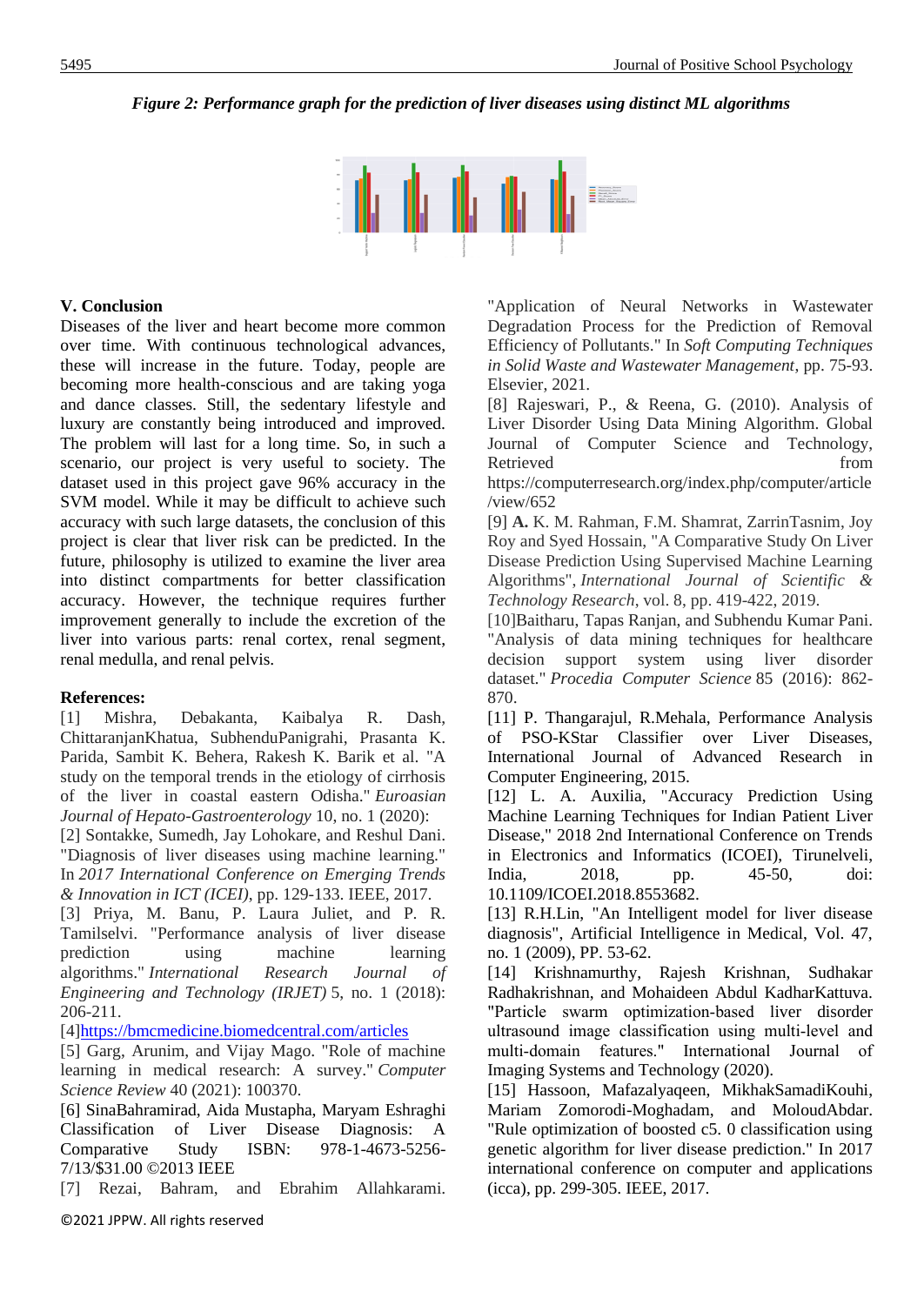## *Figure 2: Performance graph for the prediction of liver diseases using distinct ML algorithms*



### **V. Conclusion**

Diseases of the liver and heart become more common over time. With continuous technological advances, these will increase in the future. Today, people are becoming more health-conscious and are taking yoga and dance classes. Still, the sedentary lifestyle and luxury are constantly being introduced and improved. The problem will last for a long time. So, in such a scenario, our project is very useful to society. The dataset used in this project gave 96% accuracy in the SVM model. While it may be difficult to achieve such accuracy with such large datasets, the conclusion of this project is clear that liver risk can be predicted. In the future, philosophy is utilized to examine the liver area into distinct compartments for better classification accuracy. However, the technique requires further improvement generally to include the excretion of the liver into various parts: renal cortex, renal segment, renal medulla, and renal pelvis.

### **References:**

[1] Mishra, Debakanta, Kaibalya R. Dash, ChittaranjanKhatua, SubhenduPanigrahi, Prasanta K. Parida, Sambit K. Behera, Rakesh K. Barik et al. "A study on the temporal trends in the etiology of cirrhosis of the liver in coastal eastern Odisha." *Euroasian Journal of Hepato-Gastroenterology* 10, no. 1 (2020):

[2] Sontakke, Sumedh, Jay Lohokare, and Reshul Dani. "Diagnosis of liver diseases using machine learning." In *2017 International Conference on Emerging Trends & Innovation in ICT (ICEI)*, pp. 129-133. IEEE, 2017.

[3] Priya, M. Banu, P. Laura Juliet, and P. R. Tamilselvi. "Performance analysis of liver disease prediction using machine learning algorithms." *International Research Journal of Engineering and Technology (IRJET)* 5, no. 1 (2018): 206-211.

[4[\]https://bmcmedicine.biomedcentral.com/articles](https://bmcmedicine.biomedcentral.com/articles)

[5] Garg, Arunim, and Vijay Mago. "Role of machine learning in medical research: A survey." *Computer Science Review* 40 (2021): 100370.

[6] SinaBahramirad, Aida Mustapha, Maryam Eshraghi Classification of Liver Disease Diagnosis: A Comparative Study ISBN: 978-1-4673-5256- 7/13/\$31.00 ©2013 IEEE

[7] Rezai, Bahram, and Ebrahim Allahkarami.

"Application of Neural Networks in Wastewater Degradation Process for the Prediction of Removal Efficiency of Pollutants." In *Soft Computing Techniques in Solid Waste and Wastewater Management*, pp. 75-93. Elsevier, 2021.

[8] Rajeswari, P., & Reena, G. (2010). Analysis of Liver Disorder Using Data Mining Algorithm. Global Journal of Computer Science and Technology, Retrieved from the settlement of the settlement of the settlement of the settlement of the settlement of the settlement of the settlement of the settlement of the settlement of the settlement of the settlement of the settl

https://computerresearch.org/index.php/computer/article /view/652

[9] **A.** K. M. Rahman, F.M. Shamrat, ZarrinTasnim, Joy Roy and Syed Hossain, "A Comparative Study On Liver Disease Prediction Using Supervised Machine Learning Algorithms", *International Journal of Scientific & Technology Research*, vol. 8, pp. 419-422, 2019.

[10]Baitharu, Tapas Ranjan, and Subhendu Kumar Pani. "Analysis of data mining techniques for healthcare decision support system using liver disorder dataset." *Procedia Computer Science* 85 (2016): 862- 870.

[11] P. Thangarajul, R.Mehala, Performance Analysis of PSO-KStar Classifier over Liver Diseases, International Journal of Advanced Research in Computer Engineering, 2015.

[12] L. A. Auxilia, "Accuracy Prediction Using Machine Learning Techniques for Indian Patient Liver Disease," 2018 2nd International Conference on Trends in Electronics and Informatics (ICOEI), Tirunelveli, India, 2018, pp. 45-50, doi: 10.1109/ICOEI.2018.8553682.

[13] R.H.Lin, "An Intelligent model for liver disease diagnosis", Artificial Intelligence in Medical, Vol. 47, no. 1 (2009), PP. 53-62.

[14] Krishnamurthy, Rajesh Krishnan, Sudhakar Radhakrishnan, and Mohaideen Abdul KadharKattuva. "Particle swarm optimization‐based liver disorder ultrasound image classification using multi‐level and multi‐domain features." International Journal of Imaging Systems and Technology (2020).

[15] Hassoon, Mafazalyaqeen, MikhakSamadiKouhi, Mariam Zomorodi-Moghadam, and MoloudAbdar. "Rule optimization of boosted c5. 0 classification using genetic algorithm for liver disease prediction." In 2017 international conference on computer and applications (icca), pp. 299-305. IEEE, 2017.